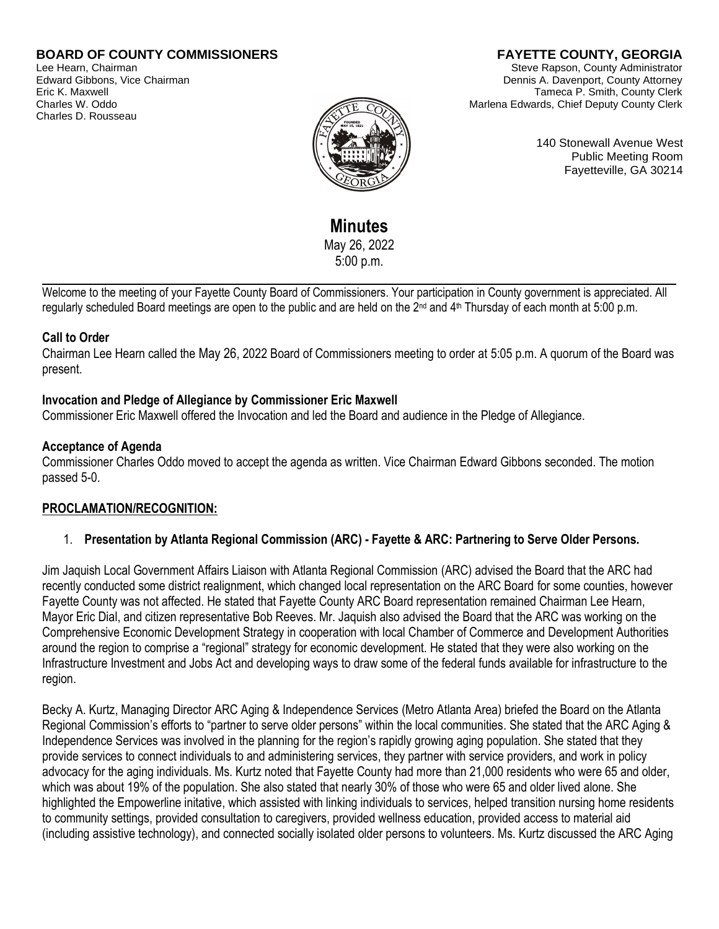### **BOARD OF COUNTY COMMISSIONERS**

Lee Hearn, Chairman Edward Gibbons, Vice Chairman Eric K. Maxwell Charles W. Oddo Charles D. Rousseau

# **FAYETTE COUNTY, GEORGIA**

Steve Rapson, County Administrator Dennis A. Davenport, County Attorney Tameca P. Smith, County Clerk Marlena Edwards, Chief Deputy County Clerk



140 Stonewall Avenue West Public Meeting Room Fayetteville, GA 30214

**Minutes**  May 26, 2022 5:00 p.m.

Welcome to the meeting of your Fayette County Board of Commissioners. Your participation in County government is appreciated. All regularly scheduled Board meetings are open to the public and are held on the 2<sup>nd</sup> and 4<sup>th</sup> Thursday of each month at 5:00 p.m.

#### **Call to Order**

Chairman Lee Hearn called the May 26, 2022 Board of Commissioners meeting to order at 5:05 p.m. A quorum of the Board was present.

#### **Invocation and Pledge of Allegiance by Commissioner Eric Maxwell**

Commissioner Eric Maxwell offered the Invocation and led the Board and audience in the Pledge of Allegiance.

#### **Acceptance of Agenda**

Commissioner Charles Oddo moved to accept the agenda as written. Vice Chairman Edward Gibbons seconded. The motion passed 5-0.

# **PROCLAMATION/RECOGNITION:**

#### 1. **Presentation by Atlanta Regional Commission (ARC) - Fayette & ARC: Partnering to Serve Older Persons.**

Jim Jaquish Local Government Affairs Liaison with Atlanta Regional Commission (ARC) advised the Board that the ARC had recently conducted some district realignment, which changed local representation on the ARC Board for some counties, however Fayette County was not affected. He stated that Fayette County ARC Board representation remained Chairman Lee Hearn, Mayor Eric Dial, and citizen representative Bob Reeves. Mr. Jaquish also advised the Board that the ARC was working on the Comprehensive Economic Development Strategy in cooperation with local Chamber of Commerce and Development Authorities around the region to comprise a "regional" strategy for economic development. He stated that they were also working on the Infrastructure Investment and Jobs Act and developing ways to draw some of the federal funds available for infrastructure to the region.

Becky A. Kurtz, Managing Director ARC Aging & Independence Services (Metro Atlanta Area) briefed the Board on the Atlanta Regional Commission's efforts to "partner to serve older persons" within the local communities. She stated that the ARC Aging & Independence Services was involved in the planning for the region's rapidly growing aging population. She stated that they provide services to connect individuals to and administering services, they partner with service providers, and work in policy advocacy for the aging individuals. Ms. Kurtz noted that Fayette County had more than 21,000 residents who were 65 and older, which was about 19% of the population. She also stated that nearly 30% of those who were 65 and older lived alone. She highlighted the Empowerline initative, which assisted with linking individuals to services, helped transition nursing home residents to community settings, provided consultation to caregivers, provided wellness education, provided access to material aid (including assistive technology), and connected socially isolated older persons to volunteers. Ms. Kurtz discussed the ARC Aging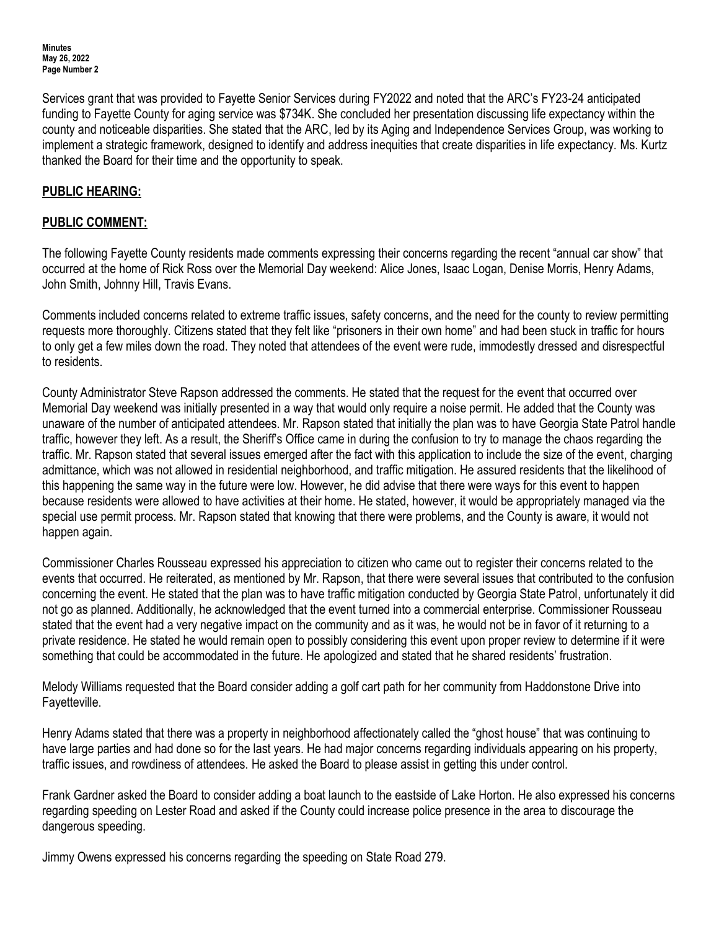Services grant that was provided to Fayette Senior Services during FY2022 and noted that the ARC's FY23-24 anticipated funding to Fayette County for aging service was \$734K. She concluded her presentation discussing life expectancy within the county and noticeable disparities. She stated that the ARC, led by its Aging and Independence Services Group, was working to implement a strategic framework, designed to identify and address inequities that create disparities in life expectancy. Ms. Kurtz thanked the Board for their time and the opportunity to speak.

### **PUBLIC HEARING:**

### **PUBLIC COMMENT:**

The following Fayette County residents made comments expressing their concerns regarding the recent "annual car show" that occurred at the home of Rick Ross over the Memorial Day weekend: Alice Jones, Isaac Logan, Denise Morris, Henry Adams, John Smith, Johnny Hill, Travis Evans.

Comments included concerns related to extreme traffic issues, safety concerns, and the need for the county to review permitting requests more thoroughly. Citizens stated that they felt like "prisoners in their own home" and had been stuck in traffic for hours to only get a few miles down the road. They noted that attendees of the event were rude, immodestly dressed and disrespectful to residents.

County Administrator Steve Rapson addressed the comments. He stated that the request for the event that occurred over Memorial Day weekend was initially presented in a way that would only require a noise permit. He added that the County was unaware of the number of anticipated attendees. Mr. Rapson stated that initially the plan was to have Georgia State Patrol handle traffic, however they left. As a result, the Sheriff's Office came in during the confusion to try to manage the chaos regarding the traffic. Mr. Rapson stated that several issues emerged after the fact with this application to include the size of the event, charging admittance, which was not allowed in residential neighborhood, and traffic mitigation. He assured residents that the likelihood of this happening the same way in the future were low. However, he did advise that there were ways for this event to happen because residents were allowed to have activities at their home. He stated, however, it would be appropriately managed via the special use permit process. Mr. Rapson stated that knowing that there were problems, and the County is aware, it would not happen again.

Commissioner Charles Rousseau expressed his appreciation to citizen who came out to register their concerns related to the events that occurred. He reiterated, as mentioned by Mr. Rapson, that there were several issues that contributed to the confusion concerning the event. He stated that the plan was to have traffic mitigation conducted by Georgia State Patrol, unfortunately it did not go as planned. Additionally, he acknowledged that the event turned into a commercial enterprise. Commissioner Rousseau stated that the event had a very negative impact on the community and as it was, he would not be in favor of it returning to a private residence. He stated he would remain open to possibly considering this event upon proper review to determine if it were something that could be accommodated in the future. He apologized and stated that he shared residents' frustration.

Melody Williams requested that the Board consider adding a golf cart path for her community from Haddonstone Drive into Fayetteville.

Henry Adams stated that there was a property in neighborhood affectionately called the "ghost house" that was continuing to have large parties and had done so for the last years. He had major concerns regarding individuals appearing on his property, traffic issues, and rowdiness of attendees. He asked the Board to please assist in getting this under control.

Frank Gardner asked the Board to consider adding a boat launch to the eastside of Lake Horton. He also expressed his concerns regarding speeding on Lester Road and asked if the County could increase police presence in the area to discourage the dangerous speeding.

Jimmy Owens expressed his concerns regarding the speeding on State Road 279.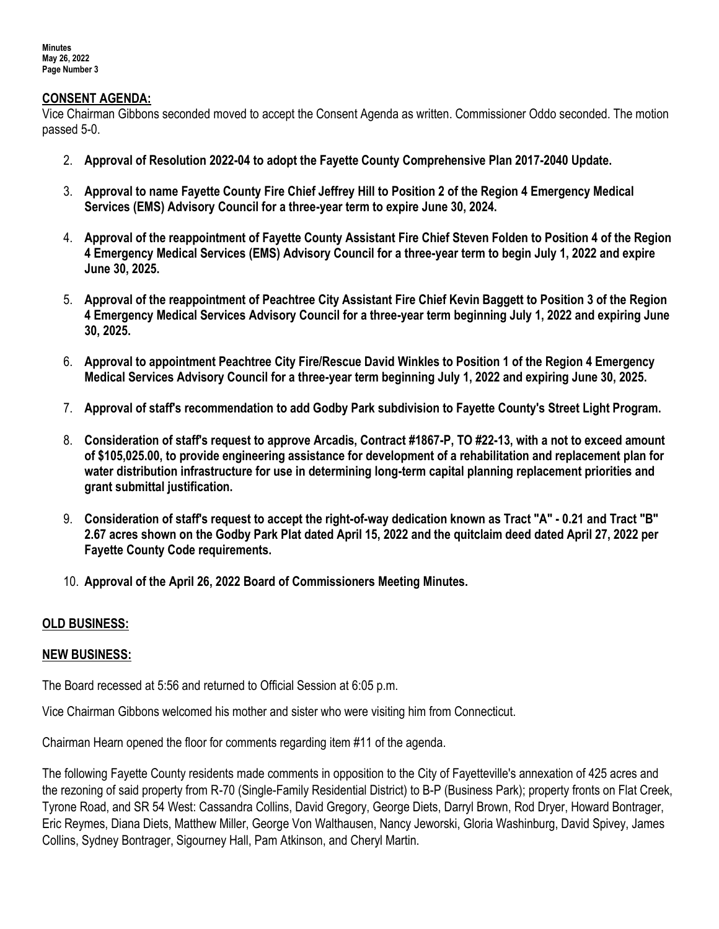#### **CONSENT AGENDA:**

Vice Chairman Gibbons seconded moved to accept the Consent Agenda as written. Commissioner Oddo seconded. The motion passed 5-0.

- 2. **Approval of Resolution 2022-04 to adopt the Fayette County Comprehensive Plan 2017-2040 Update.**
- 3. **Approval to name Fayette County Fire Chief Jeffrey Hill to Position 2 of the Region 4 Emergency Medical Services (EMS) Advisory Council for a three-year term to expire June 30, 2024.**
- 4. **Approval of the reappointment of Fayette County Assistant Fire Chief Steven Folden to Position 4 of the Region 4 Emergency Medical Services (EMS) Advisory Council for a three-year term to begin July 1, 2022 and expire June 30, 2025.**
- 5. **Approval of the reappointment of Peachtree City Assistant Fire Chief Kevin Baggett to Position 3 of the Region 4 Emergency Medical Services Advisory Council for a three-year term beginning July 1, 2022 and expiring June 30, 2025.**
- 6. **Approval to appointment Peachtree City Fire/Rescue David Winkles to Position 1 of the Region 4 Emergency Medical Services Advisory Council for a three-year term beginning July 1, 2022 and expiring June 30, 2025.**
- 7. **Approval of staff's recommendation to add Godby Park subdivision to Fayette County's Street Light Program.**
- 8. **Consideration of staff's request to approve Arcadis, Contract #1867-P, TO #22-13, with a not to exceed amount of \$105,025.00, to provide engineering assistance for development of a rehabilitation and replacement plan for water distribution infrastructure for use in determining long-term capital planning replacement priorities and grant submittal justification.**
- 9. **Consideration of staff's request to accept the right-of-way dedication known as Tract "A" - 0.21 and Tract "B" 2.67 acres shown on the Godby Park Plat dated April 15, 2022 and the quitclaim deed dated April 27, 2022 per Fayette County Code requirements.**
- 10. **Approval of the April 26, 2022 Board of Commissioners Meeting Minutes.**

#### **OLD BUSINESS:**

#### **NEW BUSINESS:**

The Board recessed at 5:56 and returned to Official Session at 6:05 p.m.

Vice Chairman Gibbons welcomed his mother and sister who were visiting him from Connecticut.

Chairman Hearn opened the floor for comments regarding item #11 of the agenda.

The following Fayette County residents made comments in opposition to the City of Fayetteville's annexation of 425 acres and the rezoning of said property from R-70 (Single-Family Residential District) to B-P (Business Park); property fronts on Flat Creek, Tyrone Road, and SR 54 West: Cassandra Collins, David Gregory, George Diets, Darryl Brown, Rod Dryer, Howard Bontrager, Eric Reymes, Diana Diets, Matthew Miller, George Von Walthausen, Nancy Jeworski, Gloria Washinburg, David Spivey, James Collins, Sydney Bontrager, Sigourney Hall, Pam Atkinson, and Cheryl Martin.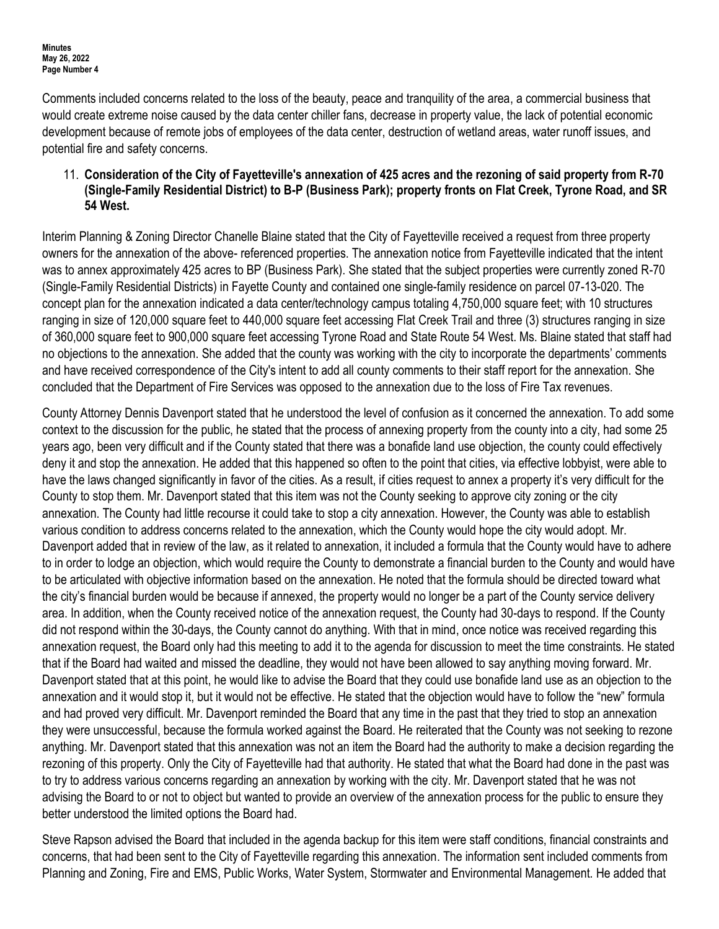Comments included concerns related to the loss of the beauty, peace and tranquility of the area, a commercial business that would create extreme noise caused by the data center chiller fans, decrease in property value, the lack of potential economic development because of remote jobs of employees of the data center, destruction of wetland areas, water runoff issues, and potential fire and safety concerns.

### 11. **Consideration of the City of Fayetteville's annexation of 425 acres and the rezoning of said property from R-70 (Single-Family Residential District) to B-P (Business Park); property fronts on Flat Creek, Tyrone Road, and SR 54 West.**

Interim Planning & Zoning Director Chanelle Blaine stated that the City of Fayetteville received a request from three property owners for the annexation of the above- referenced properties. The annexation notice from Fayetteville indicated that the intent was to annex approximately 425 acres to BP (Business Park). She stated that the subject properties were currently zoned R-70 (Single-Family Residential Districts) in Fayette County and contained one single-family residence on parcel 07-13-020. The concept plan for the annexation indicated a data center/technology campus totaling 4,750,000 square feet; with 10 structures ranging in size of 120,000 square feet to 440,000 square feet accessing Flat Creek Trail and three (3) structures ranging in size of 360,000 square feet to 900,000 square feet accessing Tyrone Road and State Route 54 West. Ms. Blaine stated that staff had no objections to the annexation. She added that the county was working with the city to incorporate the departments' comments and have received correspondence of the City's intent to add all county comments to their staff report for the annexation. She concluded that the Department of Fire Services was opposed to the annexation due to the loss of Fire Tax revenues.

County Attorney Dennis Davenport stated that he understood the level of confusion as it concerned the annexation. To add some context to the discussion for the public, he stated that the process of annexing property from the county into a city, had some 25 years ago, been very difficult and if the County stated that there was a bonafide land use objection, the county could effectively deny it and stop the annexation. He added that this happened so often to the point that cities, via effective lobbyist, were able to have the laws changed significantly in favor of the cities. As a result, if cities request to annex a property it's very difficult for the County to stop them. Mr. Davenport stated that this item was not the County seeking to approve city zoning or the city annexation. The County had little recourse it could take to stop a city annexation. However, the County was able to establish various condition to address concerns related to the annexation, which the County would hope the city would adopt. Mr. Davenport added that in review of the law, as it related to annexation, it included a formula that the County would have to adhere to in order to lodge an objection, which would require the County to demonstrate a financial burden to the County and would have to be articulated with objective information based on the annexation. He noted that the formula should be directed toward what the city's financial burden would be because if annexed, the property would no longer be a part of the County service delivery area. In addition, when the County received notice of the annexation request, the County had 30-days to respond. If the County did not respond within the 30-days, the County cannot do anything. With that in mind, once notice was received regarding this annexation request, the Board only had this meeting to add it to the agenda for discussion to meet the time constraints. He stated that if the Board had waited and missed the deadline, they would not have been allowed to say anything moving forward. Mr. Davenport stated that at this point, he would like to advise the Board that they could use bonafide land use as an objection to the annexation and it would stop it, but it would not be effective. He stated that the objection would have to follow the "new" formula and had proved very difficult. Mr. Davenport reminded the Board that any time in the past that they tried to stop an annexation they were unsuccessful, because the formula worked against the Board. He reiterated that the County was not seeking to rezone anything. Mr. Davenport stated that this annexation was not an item the Board had the authority to make a decision regarding the rezoning of this property. Only the City of Fayetteville had that authority. He stated that what the Board had done in the past was to try to address various concerns regarding an annexation by working with the city. Mr. Davenport stated that he was not advising the Board to or not to object but wanted to provide an overview of the annexation process for the public to ensure they better understood the limited options the Board had.

Steve Rapson advised the Board that included in the agenda backup for this item were staff conditions, financial constraints and concerns, that had been sent to the City of Fayetteville regarding this annexation. The information sent included comments from Planning and Zoning, Fire and EMS, Public Works, Water System, Stormwater and Environmental Management. He added that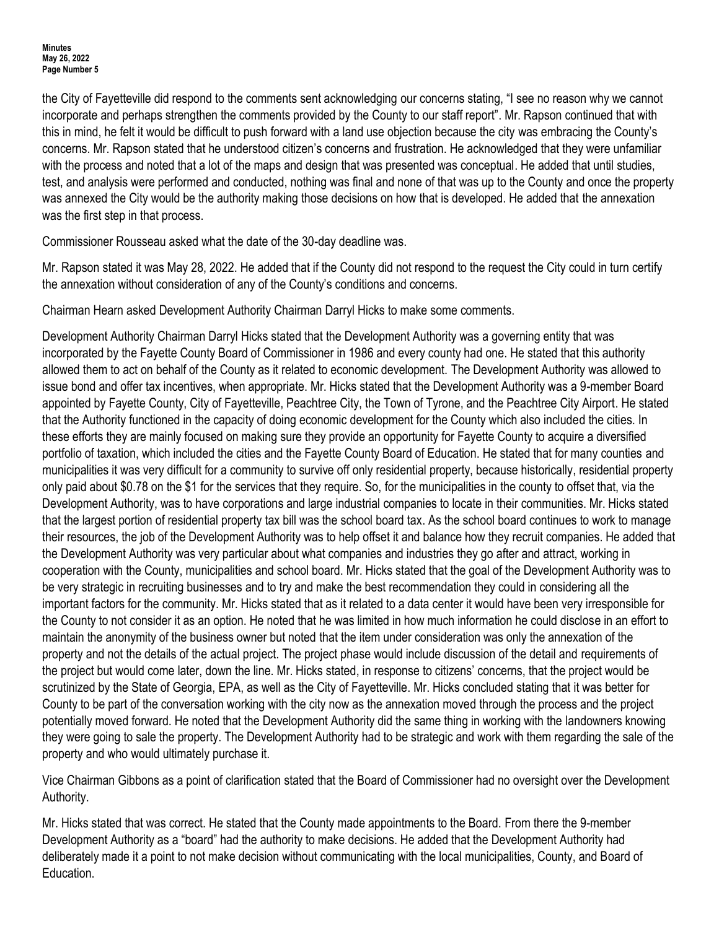the City of Fayetteville did respond to the comments sent acknowledging our concerns stating, "I see no reason why we cannot incorporate and perhaps strengthen the comments provided by the County to our staff report". Mr. Rapson continued that with this in mind, he felt it would be difficult to push forward with a land use objection because the city was embracing the County's concerns. Mr. Rapson stated that he understood citizen's concerns and frustration. He acknowledged that they were unfamiliar with the process and noted that a lot of the maps and design that was presented was conceptual. He added that until studies, test, and analysis were performed and conducted, nothing was final and none of that was up to the County and once the property was annexed the City would be the authority making those decisions on how that is developed. He added that the annexation was the first step in that process.

Commissioner Rousseau asked what the date of the 30-day deadline was.

Mr. Rapson stated it was May 28, 2022. He added that if the County did not respond to the request the City could in turn certify the annexation without consideration of any of the County's conditions and concerns.

Chairman Hearn asked Development Authority Chairman Darryl Hicks to make some comments.

Development Authority Chairman Darryl Hicks stated that the Development Authority was a governing entity that was incorporated by the Fayette County Board of Commissioner in 1986 and every county had one. He stated that this authority allowed them to act on behalf of the County as it related to economic development. The Development Authority was allowed to issue bond and offer tax incentives, when appropriate. Mr. Hicks stated that the Development Authority was a 9-member Board appointed by Fayette County, City of Fayetteville, Peachtree City, the Town of Tyrone, and the Peachtree City Airport. He stated that the Authority functioned in the capacity of doing economic development for the County which also included the cities. In these efforts they are mainly focused on making sure they provide an opportunity for Fayette County to acquire a diversified portfolio of taxation, which included the cities and the Fayette County Board of Education. He stated that for many counties and municipalities it was very difficult for a community to survive off only residential property, because historically, residential property only paid about \$0.78 on the \$1 for the services that they require. So, for the municipalities in the county to offset that, via the Development Authority, was to have corporations and large industrial companies to locate in their communities. Mr. Hicks stated that the largest portion of residential property tax bill was the school board tax. As the school board continues to work to manage their resources, the job of the Development Authority was to help offset it and balance how they recruit companies. He added that the Development Authority was very particular about what companies and industries they go after and attract, working in cooperation with the County, municipalities and school board. Mr. Hicks stated that the goal of the Development Authority was to be very strategic in recruiting businesses and to try and make the best recommendation they could in considering all the important factors for the community. Mr. Hicks stated that as it related to a data center it would have been very irresponsible for the County to not consider it as an option. He noted that he was limited in how much information he could disclose in an effort to maintain the anonymity of the business owner but noted that the item under consideration was only the annexation of the property and not the details of the actual project. The project phase would include discussion of the detail and requirements of the project but would come later, down the line. Mr. Hicks stated, in response to citizens' concerns, that the project would be scrutinized by the State of Georgia, EPA, as well as the City of Fayetteville. Mr. Hicks concluded stating that it was better for County to be part of the conversation working with the city now as the annexation moved through the process and the project potentially moved forward. He noted that the Development Authority did the same thing in working with the landowners knowing they were going to sale the property. The Development Authority had to be strategic and work with them regarding the sale of the property and who would ultimately purchase it.

Vice Chairman Gibbons as a point of clarification stated that the Board of Commissioner had no oversight over the Development Authority.

Mr. Hicks stated that was correct. He stated that the County made appointments to the Board. From there the 9-member Development Authority as a "board" had the authority to make decisions. He added that the Development Authority had deliberately made it a point to not make decision without communicating with the local municipalities, County, and Board of Education.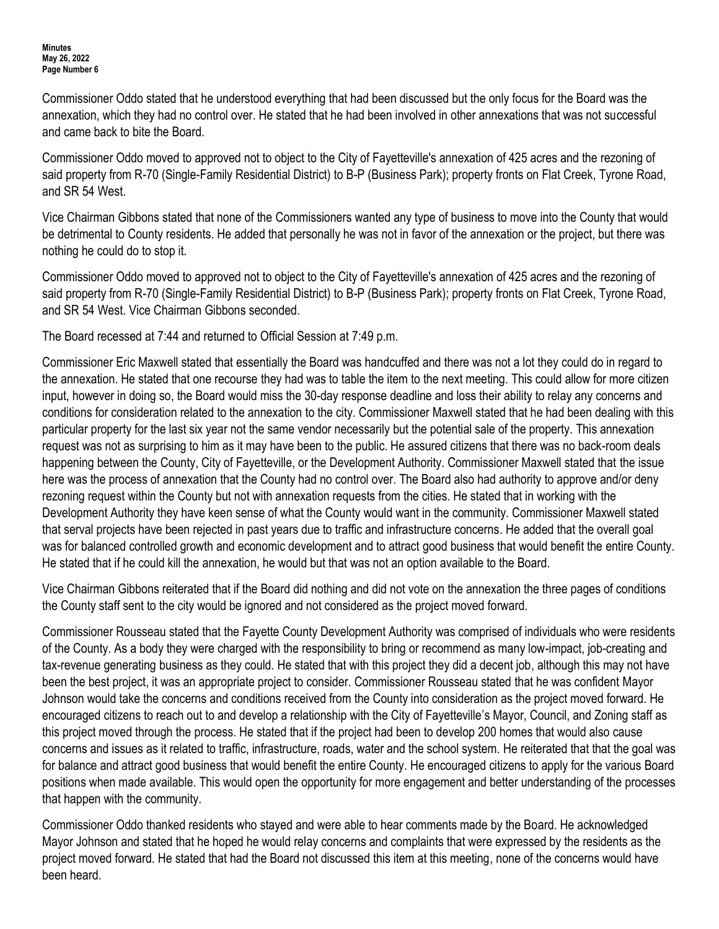Commissioner Oddo stated that he understood everything that had been discussed but the only focus for the Board was the annexation, which they had no control over. He stated that he had been involved in other annexations that was not successful and came back to bite the Board.

Commissioner Oddo moved to approved not to object to the City of Fayetteville's annexation of 425 acres and the rezoning of said property from R-70 (Single-Family Residential District) to B-P (Business Park); property fronts on Flat Creek, Tyrone Road, and SR 54 West.

Vice Chairman Gibbons stated that none of the Commissioners wanted any type of business to move into the County that would be detrimental to County residents. He added that personally he was not in favor of the annexation or the project, but there was nothing he could do to stop it.

Commissioner Oddo moved to approved not to object to the City of Fayetteville's annexation of 425 acres and the rezoning of said property from R-70 (Single-Family Residential District) to B-P (Business Park); property fronts on Flat Creek, Tyrone Road, and SR 54 West. Vice Chairman Gibbons seconded.

The Board recessed at 7:44 and returned to Official Session at 7:49 p.m.

Commissioner Eric Maxwell stated that essentially the Board was handcuffed and there was not a lot they could do in regard to the annexation. He stated that one recourse they had was to table the item to the next meeting. This could allow for more citizen input, however in doing so, the Board would miss the 30-day response deadline and loss their ability to relay any concerns and conditions for consideration related to the annexation to the city. Commissioner Maxwell stated that he had been dealing with this particular property for the last six year not the same vendor necessarily but the potential sale of the property. This annexation request was not as surprising to him as it may have been to the public. He assured citizens that there was no back-room deals happening between the County, City of Fayetteville, or the Development Authority. Commissioner Maxwell stated that the issue here was the process of annexation that the County had no control over. The Board also had authority to approve and/or deny rezoning request within the County but not with annexation requests from the cities. He stated that in working with the Development Authority they have keen sense of what the County would want in the community. Commissioner Maxwell stated that serval projects have been rejected in past years due to traffic and infrastructure concerns. He added that the overall goal was for balanced controlled growth and economic development and to attract good business that would benefit the entire County. He stated that if he could kill the annexation, he would but that was not an option available to the Board.

Vice Chairman Gibbons reiterated that if the Board did nothing and did not vote on the annexation the three pages of conditions the County staff sent to the city would be ignored and not considered as the project moved forward.

Commissioner Rousseau stated that the Fayette County Development Authority was comprised of individuals who were residents of the County. As a body they were charged with the responsibility to bring or recommend as many low-impact, job-creating and tax-revenue generating business as they could. He stated that with this project they did a decent job, although this may not have been the best project, it was an appropriate project to consider. Commissioner Rousseau stated that he was confident Mayor Johnson would take the concerns and conditions received from the County into consideration as the project moved forward. He encouraged citizens to reach out to and develop a relationship with the City of Fayetteville's Mayor, Council, and Zoning staff as this project moved through the process. He stated that if the project had been to develop 200 homes that would also cause concerns and issues as it related to traffic, infrastructure, roads, water and the school system. He reiterated that that the goal was for balance and attract good business that would benefit the entire County. He encouraged citizens to apply for the various Board positions when made available. This would open the opportunity for more engagement and better understanding of the processes that happen with the community.

Commissioner Oddo thanked residents who stayed and were able to hear comments made by the Board. He acknowledged Mayor Johnson and stated that he hoped he would relay concerns and complaints that were expressed by the residents as the project moved forward. He stated that had the Board not discussed this item at this meeting, none of the concerns would have been heard.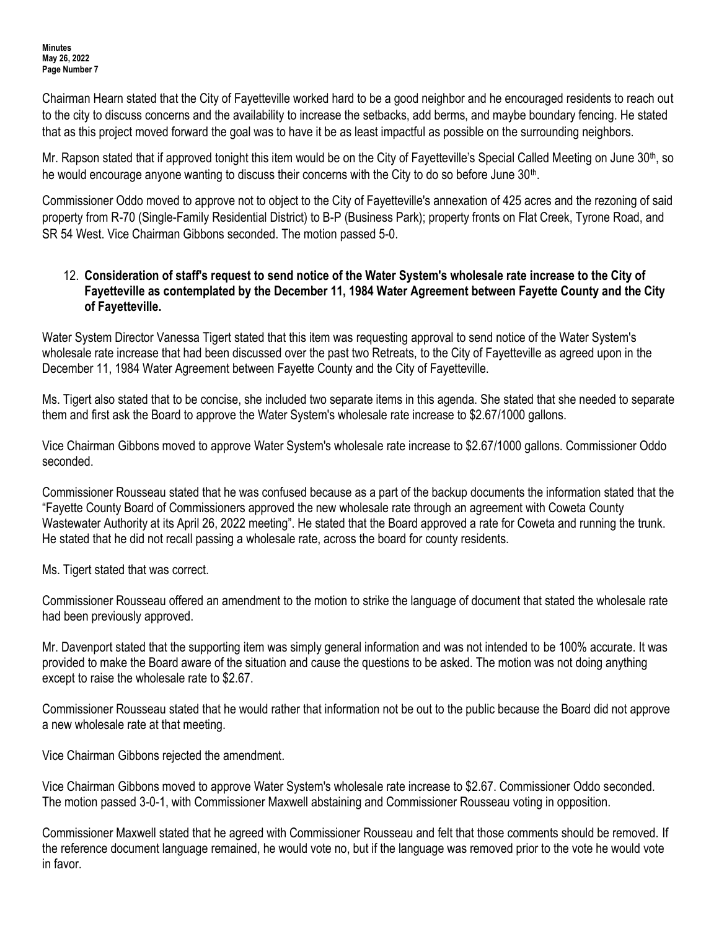Chairman Hearn stated that the City of Fayetteville worked hard to be a good neighbor and he encouraged residents to reach out to the city to discuss concerns and the availability to increase the setbacks, add berms, and maybe boundary fencing. He stated that as this project moved forward the goal was to have it be as least impactful as possible on the surrounding neighbors.

Mr. Rapson stated that if approved tonight this item would be on the City of Fayetteville's Special Called Meeting on June  $30<sup>th</sup>$ , so he would encourage anyone wanting to discuss their concerns with the City to do so before June 30<sup>th</sup>.

Commissioner Oddo moved to approve not to object to the City of Fayetteville's annexation of 425 acres and the rezoning of said property from R-70 (Single-Family Residential District) to B-P (Business Park); property fronts on Flat Creek, Tyrone Road, and SR 54 West. Vice Chairman Gibbons seconded. The motion passed 5-0.

### 12. **Consideration of staff's request to send notice of the Water System's wholesale rate increase to the City of Fayetteville as contemplated by the December 11, 1984 Water Agreement between Fayette County and the City of Fayetteville.**

Water System Director Vanessa Tigert stated that this item was requesting approval to send notice of the Water System's wholesale rate increase that had been discussed over the past two Retreats, to the City of Fayetteville as agreed upon in the December 11, 1984 Water Agreement between Fayette County and the City of Fayetteville.

Ms. Tigert also stated that to be concise, she included two separate items in this agenda. She stated that she needed to separate them and first ask the Board to approve the Water System's wholesale rate increase to \$2.67/1000 gallons.

Vice Chairman Gibbons moved to approve Water System's wholesale rate increase to \$2.67/1000 gallons. Commissioner Oddo seconded.

Commissioner Rousseau stated that he was confused because as a part of the backup documents the information stated that the "Fayette County Board of Commissioners approved the new wholesale rate through an agreement with Coweta County Wastewater Authority at its April 26, 2022 meeting". He stated that the Board approved a rate for Coweta and running the trunk. He stated that he did not recall passing a wholesale rate, across the board for county residents.

Ms. Tigert stated that was correct.

Commissioner Rousseau offered an amendment to the motion to strike the language of document that stated the wholesale rate had been previously approved.

Mr. Davenport stated that the supporting item was simply general information and was not intended to be 100% accurate. It was provided to make the Board aware of the situation and cause the questions to be asked. The motion was not doing anything except to raise the wholesale rate to \$2.67.

Commissioner Rousseau stated that he would rather that information not be out to the public because the Board did not approve a new wholesale rate at that meeting.

Vice Chairman Gibbons rejected the amendment.

Vice Chairman Gibbons moved to approve Water System's wholesale rate increase to \$2.67. Commissioner Oddo seconded. The motion passed 3-0-1, with Commissioner Maxwell abstaining and Commissioner Rousseau voting in opposition.

Commissioner Maxwell stated that he agreed with Commissioner Rousseau and felt that those comments should be removed. If the reference document language remained, he would vote no, but if the language was removed prior to the vote he would vote in favor.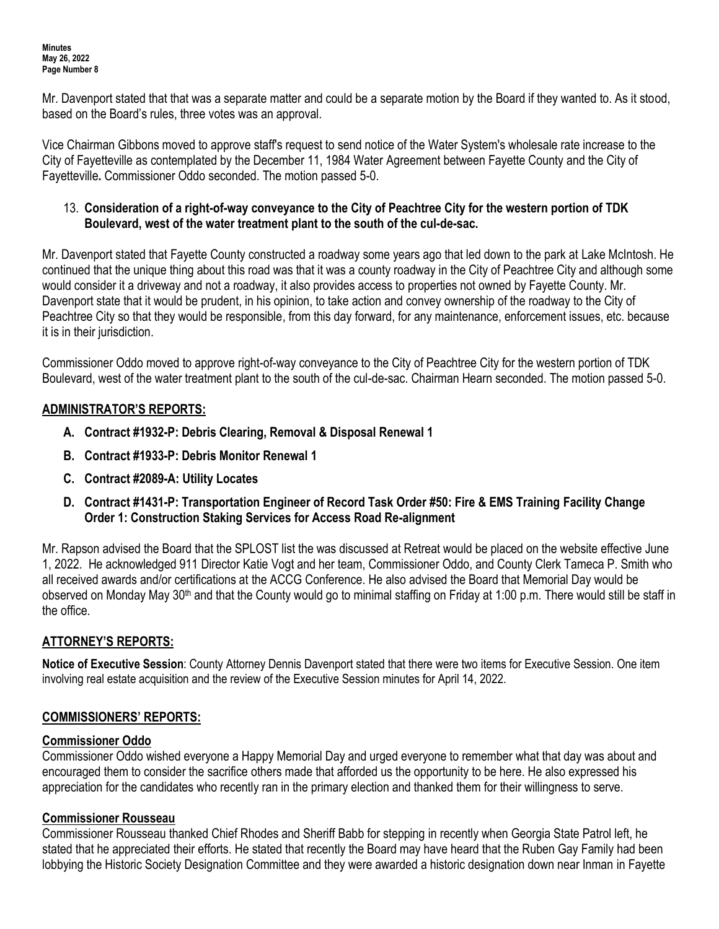Mr. Davenport stated that that was a separate matter and could be a separate motion by the Board if they wanted to. As it stood, based on the Board's rules, three votes was an approval.

Vice Chairman Gibbons moved to approve staff's request to send notice of the Water System's wholesale rate increase to the City of Fayetteville as contemplated by the December 11, 1984 Water Agreement between Fayette County and the City of Fayetteville**.** Commissioner Oddo seconded. The motion passed 5-0.

### 13. **Consideration of a right-of-way conveyance to the City of Peachtree City for the western portion of TDK Boulevard, west of the water treatment plant to the south of the cul-de-sac.**

Mr. Davenport stated that Fayette County constructed a roadway some years ago that led down to the park at Lake McIntosh. He continued that the unique thing about this road was that it was a county roadway in the City of Peachtree City and although some would consider it a driveway and not a roadway, it also provides access to properties not owned by Fayette County. Mr. Davenport state that it would be prudent, in his opinion, to take action and convey ownership of the roadway to the City of Peachtree City so that they would be responsible, from this day forward, for any maintenance, enforcement issues, etc. because it is in their jurisdiction.

Commissioner Oddo moved to approve right-of-way conveyance to the City of Peachtree City for the western portion of TDK Boulevard, west of the water treatment plant to the south of the cul-de-sac. Chairman Hearn seconded. The motion passed 5-0.

# **ADMINISTRATOR'S REPORTS:**

- **A. Contract #1932-P: Debris Clearing, Removal & Disposal Renewal 1**
- **B. Contract #1933-P: Debris Monitor Renewal 1**
- **C. Contract #2089-A: Utility Locates**
- **D. Contract #1431-P: Transportation Engineer of Record Task Order #50: Fire & EMS Training Facility Change Order 1: Construction Staking Services for Access Road Re-alignment**

Mr. Rapson advised the Board that the SPLOST list the was discussed at Retreat would be placed on the website effective June 1, 2022. He acknowledged 911 Director Katie Vogt and her team, Commissioner Oddo, and County Clerk Tameca P. Smith who all received awards and/or certifications at the ACCG Conference. He also advised the Board that Memorial Day would be observed on Monday May 30<sup>th</sup> and that the County would go to minimal staffing on Friday at 1:00 p.m. There would still be staff in the office.

# **ATTORNEY'S REPORTS:**

**Notice of Executive Session**: County Attorney Dennis Davenport stated that there were two items for Executive Session. One item involving real estate acquisition and the review of the Executive Session minutes for April 14, 2022.

# **COMMISSIONERS' REPORTS:**

# **Commissioner Oddo**

Commissioner Oddo wished everyone a Happy Memorial Day and urged everyone to remember what that day was about and encouraged them to consider the sacrifice others made that afforded us the opportunity to be here. He also expressed his appreciation for the candidates who recently ran in the primary election and thanked them for their willingness to serve.

# **Commissioner Rousseau**

Commissioner Rousseau thanked Chief Rhodes and Sheriff Babb for stepping in recently when Georgia State Patrol left, he stated that he appreciated their efforts. He stated that recently the Board may have heard that the Ruben Gay Family had been lobbying the Historic Society Designation Committee and they were awarded a historic designation down near Inman in Fayette